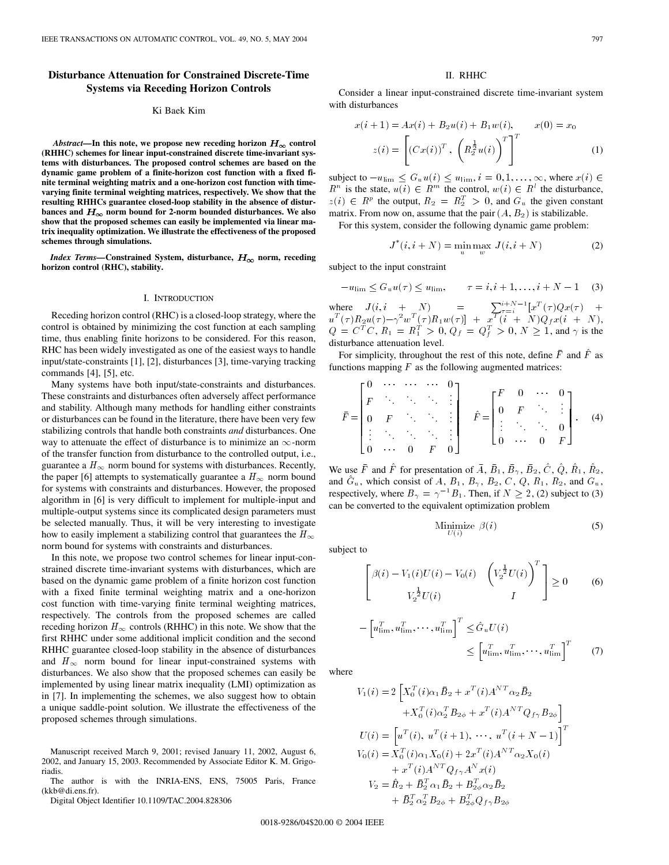# **Disturbance Attenuation for Constrained Discrete-Time Systems via Receding Horizon Controls**

### Ki Baek Kim

*Abstract*—In this note, we propose new receding horizon  $H_{\infty}$  control **(RHHC) schemes for linear input-constrained discrete time-invariant systems with disturbances. The proposed control schemes are based on the dynamic game problem of a finite-horizon cost function with a fixed finite terminal weighting matrix and a one-horizon cost function with timevarying finite terminal weighting matrices, respectively. We show that the resulting RHHCs guarantee closed-loopstability in the absence of distur**bances and  $H_{\infty}$  norm bound for 2-norm bounded disturbances. We also **show that the proposed schemes can easily be implemented via linear matrix inequality optimization. We illustrate the effectiveness of the proposed schemes through simulations.**

*Index Terms*—Constrained System, disturbance,  $H_{\infty}$  norm, receding **horizon control (RHC), stability.**

#### I. INTRODUCTION

Receding horizon control (RHC) is a closed-loop strategy, where the control is obtained by minimizing the cost function at each sampling time, thus enabling finite horizons to be considered. For this reason, RHC has been widely investigated as one of the easiest ways to handle input/state-constraints [1], [2], disturbances [3], time-varying tracking commands [4], [5], etc.

Many systems have both input/state-constraints and disturbances. These constraints and disturbances often adversely affect performance and stability. Although many methods for handling either constraints or disturbances can be found in the literature, there have been very few stabilizing controls that handle both constraints *and* disturbances. One way to attenuate the effect of disturbance is to minimize an  $\infty$ -norm of the transfer function from disturbance to the controlled output, i.e., guarantee a  $H_{\infty}$  norm bound for systems with disturbances. Recently, the paper [6] attempts to systematically guarantee a  $H_{\infty}$  norm bound for systems with constraints and disturbances. However, the proposed algorithm in [6] is very difficult to implement for multiple-input and multiple-output systems since its complicated design parameters must be selected manually. Thus, it will be very interesting to investigate how to easily implement a stabilizing control that guarantees the  $H_{\infty}$ norm bound for systems with constraints and disturbances.

In this note, we propose two control schemes for linear input-constrained discrete time-invariant systems with disturbances, which are based on the dynamic game problem of a finite horizon cost function with a fixed finite terminal weighting matrix and a one-horizon cost function with time-varying finite terminal weighting matrices, respectively. The controls from the proposed schemes are called receding horizon  $H_{\infty}$  controls (RHHC) in this note. We show that the first RHHC under some additional implicit condition and the second RHHC guarantee closed-loop stability in the absence of disturbances and  $H_{\infty}$  norm bound for linear input-constrained systems with disturbances. We also show that the proposed schemes can easily be implemented by using linear matrix inequality (LMI) optimization as in [7]. In implementing the schemes, we also suggest how to obtain a unique saddle-point solution. We illustrate the effectiveness of the proposed schemes through simulations.

Manuscript received March 9, 2001; revised January 11, 2002, August 6, 2002, and January 15, 2003. Recommended by Associate Editor K. M. Grigoriadis.

The author is with the INRIA-ENS, ENS, 75005 Paris, France (kkb@di.ens.fr).

Digital Object Identifier 10.1109/TAC.2004.828306

### II. RHHC

Consider a linear input-constrained discrete time-invariant system with disturbances

$$
x(i + 1) = Ax(i) + B_2u(i) + B_1w(i), \qquad x(0) = x_0
$$
  

$$
z(i) = \left[ (Cx(i))^T, \left( R_2^{\frac{1}{2}}u(i) \right)^T \right]^T
$$
 (1)

subject to  $-u_{\text{lim}} \leq G_u u(i) \leq u_{\text{lim}}, i = 0, 1, \dots, \infty$ , where  $x(i) \in$  $R^n$  is the state,  $u(i) \in R^m$  the control,  $w(i) \in R^l$  the disturbance,  $z(i) \in R^p$  the output,  $R_2 = R_2^T > 0$ , and  $G_u$  the given constant matrix. From now on, assume that the pair  $(A, B_2)$  is stabilizable.

For this system, consider the following dynamic game problem:

$$
J^*(i, i + N) = \min_{u} \max_{w} J(i, i + N)
$$
 (2)

subject to the input constraint

$$
-u_{\lim} \le G_u u(\tau) \le u_{\lim}, \qquad \tau = i, i+1, \dots, i+N-1 \quad (3)
$$

where  $J(i, i + N)$  =  $\sum_{\tau=i}^{i+N-1} [x^T(\tau)Qx(\tau) +$  $u^T(\tau) R_2 u(\tau) - \gamma^2 w^T(\tau) R_1 w(\tau) ] \,\, + \,\, x^{\overline{T}} (i \,\, + \,\, N) Q_f x(i \,\, + \,\, N),$  $Q = C^{T}C, R_{1} = R_{1}^{T} > 0, Q_{f} = Q_{f}^{T} > 0, N \ge 1$ , and  $\gamma$  is the disturbance attenuation level.

For simplicity, throughout the rest of this note, define  $\overline{F}$  and  $\overline{F}$  as functions mapping  $F$  as the following augmented matrices:

$$
\bar{F} = \begin{bmatrix} 0 & \cdots & \cdots & \cdots & 0 \\ F & \ddots & \ddots & \ddots & \vdots \\ 0 & F & \ddots & \ddots & \vdots \\ \vdots & \ddots & \ddots & \ddots & \vdots \\ 0 & \cdots & 0 & F & 0 \end{bmatrix} \quad \hat{F} = \begin{bmatrix} F & 0 & \cdots & 0 \\ 0 & F & \ddots & \vdots \\ \vdots & \ddots & \ddots & 0 \\ 0 & \cdots & 0 & F \end{bmatrix} . \quad (4)
$$

We use  $\bar{F}$  and  $\hat{F}$  for presentation of  $\bar{A}$ ,  $\bar{B}_1$ ,  $\bar{B}_2$ ,  $\hat{C}$ ,  $\hat{Q}$ ,  $\hat{B}_1$ ,  $\hat{R}_2$ , and  $\hat{G}_u$ , which consist of A,  $B_1$ ,  $B_7$ ,  $B_2$ , C, Q,  $R_1$ ,  $R_2$ , and  $G_u$ , respectively, where  $B_{\gamma} = \gamma^{-1} B_1$ . Then, if  $N \ge 2$ , (2) subject to (3) can be converted to the equivalent optimization problem

Minimize 
$$
\beta(i)
$$
 (5)

subject to

$$
\begin{bmatrix}\n\beta(i) - V_1(i)U(i) - V_0(i) & \left(V_2^{\frac{1}{2}}U(i)\right)^T \\
V_2^{\frac{1}{2}}U(i) & I\n\end{bmatrix} \ge 0
$$
\n(6)

$$
-\left[u_{\lim}^T, u_{\lim}^T, \cdots, u_{\lim}^T\right]^T \leq \hat{G}_u U(i)
$$
  

$$
\leq \left[u_{\lim}^T, u_{\lim}^T, \cdots, u_{\lim}^T\right]^T
$$
 (7)

where

$$
V_1(i) = 2\left[X_0^T(i)\alpha_1\bar{B}_2 + x^T(i)A^{NT}\alpha_2\bar{B}_2\right.+ X_0^T(i)\alpha_2^T B_{2\phi} + x^T(i)A^{NT}Q_{f\gamma}B_{2\phi}\right]\nU(i) = \left[u^T(i), u^T(i+1), \dots, u^T(i+N-1)\right]^T\nV_0(i) = X_0^T(i)\alpha_1X_0(i) + 2x^T(i)A^{NT}\alpha_2X_0(i)+ x^T(i)A^{NT}Q_{f\gamma}A^{NT}(i)\nV_2 = \hat{R}_2 + \bar{B}_2^T\alpha_1\bar{B}_2 + B_{2\phi}^T\alpha_2\bar{B}_2+ \bar{B}_2^T\alpha_2^T B_{2\phi} + B_{2\phi}^TQ_{f\gamma}B_{2\phi}
$$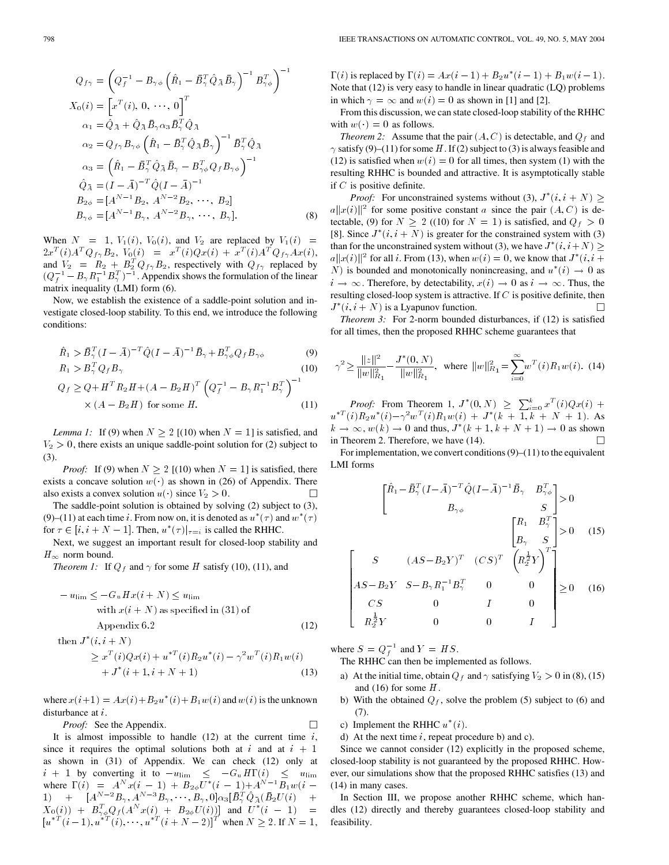$$
Q_{f\gamma} = \left(Q_f^{-1} - B_{\gamma\phi} \left(\hat{R}_1 - \bar{B}_{\gamma}^T \hat{Q}_{\bar{A}} \bar{B}_{\gamma}\right)^{-1} B_{\gamma\phi}^T\right)^{-1}
$$
  
\n
$$
X_0(i) = \left[x^T(i), 0, \dots, 0\right]^T
$$
  
\n
$$
\alpha_1 = \hat{Q}_{\bar{A}} + \hat{Q}_{\bar{A}} \bar{B}_{\gamma} \alpha_3 \bar{B}_{\gamma}^T \hat{Q}_{\bar{A}}
$$
  
\n
$$
\alpha_2 = Q_{f\gamma} B_{\gamma\phi} \left(\hat{R}_1 - \bar{B}_{\gamma}^T \hat{Q}_{\bar{A}} \bar{B}_{\gamma}\right)^{-1} \bar{B}_{\gamma}^T \hat{Q}_{\bar{A}}
$$
  
\n
$$
\alpha_3 = \left(\hat{R}_1 - \bar{B}_{\gamma}^T \hat{Q}_{\bar{A}} \bar{B}_{\gamma} - B_{\gamma\phi}^T Q_{f} B_{\gamma\phi}\right)^{-1}
$$
  
\n
$$
\hat{Q}_{\bar{A}} = (I - \bar{A})^{-T} \hat{Q} (I - \bar{A})^{-1}
$$
  
\n
$$
B_{2\phi} = [A^{N-1} B_2, A^{N-2} B_2, \dots, B_2]
$$
  
\n
$$
B_{\gamma\phi} = [A^{N-1} B_{\gamma}, A^{N-2} B_{\gamma}, \dots, B_{\gamma}].
$$
  
\n(8)

When  $N = 1$ ,  $V_1(i)$ ,  $V_0(i)$ , and  $V_2$  are replaced by  $V_1(i)$  =  $2x^T(i)A^TQ_{f\gamma}B_2, V_0(i) = x^T(i)Qx(i) + x^T(i)A^TQ_{f\gamma}Ax(i),$ and  $V_2 = R_2 + B_2^T Q_f \gamma B_2$ , respectively with  $Q_f \gamma$  replaced by  $2x^T(i)A^TQ_{f\gamma}B_2$ ,  $V_0(i) = x^T(i)Qx(i) + x^T(i)A^TQ_{f\gamma}Ax(i)$ ,<br>and  $V_2 = R_2 + B_2^TQ_{f\gamma}B_2$ , respectively with  $Q_{f\gamma}$  replaced by<br> $(Q_1^{-1} - B_2 R_1^{-1}B_2^T)^{-1}$ . Appendix shows the formulation of the linear matrix inequality (LMI) form (6).

Now, we establish the existence of a saddle-point solution and investigate closed-loop stability. To this end, we introduce the following conditions:  $\frac{1}{1}$ 

ditions:  
\n
$$
\hat{R}_1 > \bar{B}_{\gamma}^T (I - \bar{A})^{-T} \hat{Q} (I - \bar{A})^{-1} \bar{B}_{\gamma} + B_{\gamma\phi}^T Q_f B_{\gamma\phi}
$$
\n(9)  
\n
$$
R_1 > B_{\gamma}^T Q_f B_{\gamma}
$$
\n(10)

$$
R_1 > B_{\gamma} (1 - A) \quad Q(1 - A) \quad D_{\gamma} + D_{\gamma\phi} Q_f D_{\gamma\phi} \tag{9}
$$
\n
$$
R_1 > B_{\gamma}^T Q_f B_{\gamma} \tag{10}
$$
\n
$$
Q_f \ge Q + H^T R_2 H + (A - B_2 H)^T \left( Q_f^{-1} - B_{\gamma} R_1^{-1} B_{\gamma}^T \right)^{-1} \times (A - B_2 H) \text{ for some } H. \tag{11}
$$

*Lemma 1:* If (9) when  $N > 2$  [(10) when  $N = 1$ ] is satisfied, and  $V_2 > 0$ , there exists an unique saddle-point solution for (2) subject to (3).

*Proof:* If (9) when  $N \ge 2$  [(10) when  $N = 1$ ] is satisfied, there exists a concave solution  $w(\cdot)$  as shown in (26) of Appendix. There also exists a convex solution  $u(\cdot)$  since  $V_2 > 0$ . П

The saddle-point solution is obtained by solving (2) subject to (3), (9)–(11) at each time i. From now on, it is denoted as  $u^*(\tau)$  and  $w^*(\tau)$ for  $\tau \in [i, i + N - 1]$ . Then,  $u^*(\tau)|_{\tau=i}$  is called the RHHC.

Next, we suggest an important result for closed-loop stability and  $H_{\infty}$  norm bound.

*Theorem 1:* If  $Q_f$  and  $\gamma$  for some H satisfy (10), (11), and

$$
- u_{\text{lim}} \le -G_u H x (i + N) \le u_{\text{lim}}
$$
  
with  $x(i + N)$  as specified in (31) of  
Appendix 6.2 (12)

then  $J^*(i, i+N)$ 

$$
\geq x^T(i)Qx(i) + u^{*T}(i)R_2u^*(i) - \gamma^2w^T(i)R_1w(i) + J^*(i+1, i+N+1)
$$
\n(13)

where  $x(i+1) = Ax(i) + B_2u^*(i) + B_1w(i)$  and  $w(i)$  is the unknown disturbance at i.

*Proof:* See the Appendix.

It is almost impossible to handle  $(12)$  at the current time i, since it requires the optimal solutions both at i and at  $i + 1$ as shown in (31) of Appendix. We can check (12) only at  $i + 1$  by converting it to  $-u$ <sub>lim</sub>  $\leq -G_u H\Gamma(i) \leq u$ <sub>lim</sub> where  $\Gamma(i) = A^N x(i - 1) + B_{2\phi} U^* (i - 1) + A^{N-1} \overline{B_1 w(i - 1)}$  $\hspace*{1.5cm} \textbf{1)} \hspace*{0.3cm} + \hspace*{0.3cm} \big[ A^{N-2} B_{\gamma}, A^{N-3} \overset{.}{B}_{\gamma}, \cdots, \overset{.}{B}_{\gamma}, 0 \big] \alpha_{3} [ \bar{B}^{\overset{T}{T}}_{\gamma} \hat{Q}_{\bar{A}} ( \bar{B}_{2} U(i) \big] + \big]$  $X_0(i)$  +  $B_{\gamma\phi}^T Q_f(A^N x(i) + B_{2\phi} U(i))]$  and  $U^*(i - 1)$  =  $[u^{*T}(i-1), u^{*T}(i), \cdots, u^{*T}(i+N-2)]^T$  when  $N \geq 2$ . If  $N = 1$ ,

 $\Gamma(i)$  is replaced by  $\Gamma(i) = Ax(i - 1) + B_2u^*(i - 1) + B_1w(i - 1)$ . Note that (12) is very easy to handle in linear quadratic (LQ) problems in which  $\gamma = \infty$  and  $w(i) = 0$  as shown in [1] and [2].

From this discussion, we can state closed-loop stability of the RHHC with  $w(\cdot)=0$  as follows.

*Theorem 2:* Assume that the pair  $(A, C)$  is detectable, and  $Q_f$  and  $\gamma$  satisfy (9)–(11) for some H. If (2) subject to (3) is always feasible and (12) is satisfied when  $w(i)=0$  for all times, then system (1) with the resulting RHHC is bounded and attractive. It is asymptotically stable if  $C$  is positive definite.

*Proof:* For unconstrained systems without (3),  $J^*(i, i + N) \geq$  $a||x(i)||^2$  for some positive constant a since the pair  $(A, C)$  is detectable, (9) for  $N \ge 2$  ((10) for  $N = 1$ ) is satisfied, and  $Q_f > 0$ [8]. Since  $J^*(i, i + N)$  is greater for the constrained system with (3) than for the unconstrained system without (3), we have  $J^*(i, i+N) \geq$  $a||x(i)||^2$  for all i. From (13), when  $w(i)=0$ , we know that  $J^*(i, i +$ N) is bounded and monotonically nonincreasing, and  $u^*(i) \rightarrow 0$  as  $i \to \infty$ . Therefore, by detectability,  $x(i) \to 0$  as  $i \to \infty$ . Thus, the resulting closed-loop system is attractive. If  $C$  is positive definite, then  $J^*(i, i + N)$  is a Lyapunov function.  $\Box$ 

*Theorem 3:* For 2-norm bounded disturbances, if (12) is satisfied for all times, then the proposed RHHC scheme guarantees that

$$
\gamma^2 \ge \frac{\|z\|^2}{\|w\|_{R_1}^2} - \frac{J^*(0, N)}{\|w\|_{R_1}^2}, \text{ where } \|w\|_{R_1}^2 = \sum_{i=0}^{\infty} w^T(i) R_1 w(i). \tag{14}
$$

*Proof:* From Theorem 1,  $J^*(0, N) \ge \sum_{i=0}^k x^T(i)Qx(i) +$  $u^{*T}(i)R_2u^*(i) - \gamma^2w^T(i)R_1w(i) + J^*(k+1,k+N+1)$ . As  $k \to \infty$ ,  $w(k) \to 0$  and thus,  $J^*(k + 1, k + N + 1) \to 0$  as shown in Theorem 2. Therefore, we have (14). П

For implementation, we convert conditions  $(9)$ – $(11)$  to the equivalent LMI forms

$$
\begin{bmatrix} \hat{R}_1 - \bar{B}_{\gamma}^T (I - \bar{A})^{-T} \hat{Q} (I - \bar{A})^{-1} \bar{B}_{\gamma} & B_{\gamma \phi}^T \\ B_{\gamma \phi} & S \end{bmatrix} > 0
$$
\n
$$
\begin{bmatrix} R_1 & B_{\gamma}^T \\ B_{\gamma} & S \end{bmatrix} > 0 \quad (15)
$$
\n
$$
S \qquad (AS - B_2 Y)^T \quad (CS)^T \quad \left( R_2^{\frac{1}{2}} Y \right)^T
$$
\n
$$
AS - B_2 Y \quad S - B_{\gamma} R_1^{-1} B_{\gamma}^T \qquad 0 \qquad 0
$$
\n
$$
CS \qquad 0 \qquad I \qquad 0
$$
\n
$$
R_2^{\frac{1}{2}} Y \qquad 0 \qquad 0 \qquad 0 \qquad I \qquad 0
$$

where  $S = Q_f^{-1}$  and  $Y = HS$ .

The RHHC can then be implemented as follows.

- a) At the initial time, obtain  $Q_f$  and  $\gamma$  satisfying  $V_2 > 0$  in (8), (15) and (16) for some  $H$ .
- b) With the obtained  $Q_f$ , solve the problem (5) subject to (6) and (7).
- c) Implement the RHHC  $u^*(i)$ .

П

d) At the next time  $i$ , repeat procedure b) and c).

Since we cannot consider (12) explicitly in the proposed scheme, closed-loop stability is not guaranteed by the proposed RHHC. However, our simulations show that the proposed RHHC satisfies (13) and (14) in many cases.

In Section III, we propose another RHHC scheme, which handles (12) directly and thereby guarantees closed-loop stability and feasibility.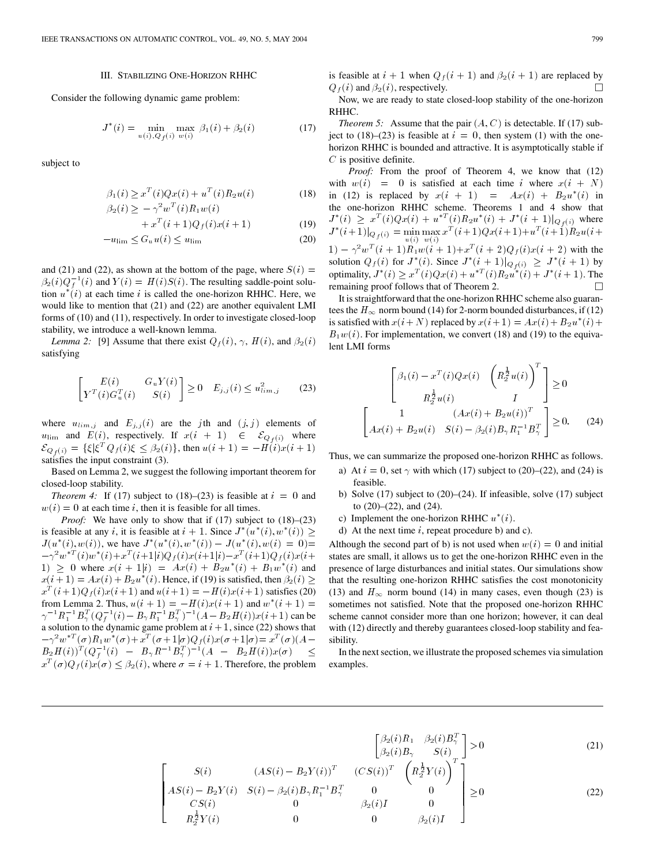## III. STABILIZING ONE-HORIZON RHHC

Consider the following dynamic game problem:

$$
J^*(i) = \min_{u(i), Q_f(i)} \max_{w(i)} \beta_1(i) + \beta_2(i)
$$
 (17)

subject to

$$
\beta_1(i) \ge x^T(i) Q x(i) + u^T(i) R_2 u(i) \tag{18}
$$

$$
\beta_2(i) \ge -\gamma^2 w^T(i) R_1 w(i)
$$

$$
+ xT (i + 1)Qf (i)x(i + 1)
$$
 (19)

$$
-u_{\lim} \le G_u u(i) \le u_{\lim} \tag{20}
$$

and (21) and (22), as shown at the bottom of the page, where  $S(i)$  =  $\beta_2(i)Q_f^{-1}(i)$  and  $Y(i) = H(i)S(i)$ . The resulting saddle-point solution  $u^*(i)$  at each time i is called the one-horizon RHHC. Here, we would like to mention that  $(21)$  and  $(22)$  are another equivalent LMI forms of (10) and (11), respectively. In order to investigate closed-loop stability, we introduce a well-known lemma.

*Lemma 2:* [9] Assume that there exist  $Q_f(i)$ ,  $\gamma$ ,  $H(i)$ , and  $\beta_2(i)$ satisfying

$$
\begin{bmatrix} E(i) & G_u Y(i) \\ Y^T(i) G_u^T(i) & S(i) \end{bmatrix} \ge 0 \quad E_{j,j}(i) \le u_{\lim,j}^2 \tag{23}
$$

where  $u_{\text{lim},j}$  and  $E_{j,j}(i)$  are the jth and  $(j, j)$  elements of  $u$ lim and  $E(i)$ , respectively. If  $x(i + 1) \in \mathcal{E}_{Q_f(i)}$  where  $\mathcal{E}_{Q_f(i)} = {\{\xi | \xi^T Q_f(i) \xi \le \beta_2(i)\},\text{ then } u(i+1) = -H(i)x(i+1)}$ satisfies the input constraint (3).

Basedon Lemma 2, we suggest the following important theorem for closed-loop stability.

*Theorem 4:* If (17) subject to (18)–(23) is feasible at  $i = 0$  and  $w(i)=0$  at each time i, then it is feasible for all times.

*Proof:* We have only to show that if (17) subject to (18)–(23) is feasible at any i, it is feasible at  $i + 1$ . Since  $J^*(u^*(i), w^*(i)) \ge$  $J(u^*(i), w(i))$ , we have  $J^*(u^*(i), w^*(i)) - J(u^*(i), w(i) = 0)$ =  $-\gamma^2w^{*T}(i)w^*(i)+x^T(i+1|i)Q_f(i)x(i+1|i)-x^T(i+1)Q_f(i)x(i+1)$ 1)  $\geq$  0 where  $x(i + 1|i) = Ax(i) + B_2u^*(i) + B_1w^*(i)$  and  $x(i+1) = Ax(i) + B_2u^*(i)$ . Hence, if (19) is satisfied, then  $\beta_2(i) \geq$  $x^{T}(i+1)Q_{f}(i)x(i+1)$  and  $u(i+1) = -H(i)x(i+1)$  satisfies (20) from Lemma 2. Thus,  $u(i + 1) = -H(i)x(i + 1)$  and  $w^*(i + 1) =$  $\gamma^{-1}R_1^{-1}B_\gamma^T(Q_f^{-1}(i)-B_\gamma R_1^{-1}B_\gamma^T)^{-1}(A-B_2H(i))x(i+1)$  can be a solution to the dynamic game problem at  $i + 1$ , since (22) shows that  $-\gamma^2w^{*T}(\sigma)R_1w^*(\sigma)+x^T(\sigma+1|\sigma)Q_f(i)x(\sigma+1|\sigma)=x^T(\sigma)(A-\sigma)$  $\overline{B_2H(i)})^T(Q_f^{-1}(i) \ \ \ - \ \ \overline{B_\gamma}R^{-1}B_\gamma^T)^{-1}(A \ \ \ - \ \ \overline{B_2H(i)})x(\sigma) \quad \leq$  $x^T(\sigma)Q_f(i)x(\sigma) \leq \beta_2(i)$ , where  $\sigma = i + 1$ . Therefore, the problem is feasible at  $i + 1$  when  $Q_f(i + 1)$  and  $\beta_2(i + 1)$  are replaced by  $Q_f(i)$  and  $\beta_2(i)$ , respectively.  $\Box$ 

Now, we are ready to state closed-loop stability of the one-horizon RHHC.

*Theorem 5:* Assume that the pair  $(A, C)$  is detectable. If (17) subject to (18)–(23) is feasible at  $i = 0$ , then system (1) with the onehorizon RHHC is bounded and attractive. It is asymptotically stable if  $C$  is positive definite.

*Proof:* From the proof of Theorem 4, we know that (12) with  $w(i) = 0$  is satisfied at each time i where  $x(i + N)$ in (12) is replaced by  $x(i + 1) = Ax(i) + B_2u^*(i)$  in the one-horizon RHHC scheme. Theorems 1 and 4 show that  $J^*(i) \geq x^T(i)Qx(i) + u^{*T}(i)R_2u^*(i) + J^*(i+1)|_{Q_f(i)}$  where  $J^*(i+1)|_{Q_f(i)} = \min_{u(i)} \max_{w(i)} x^T(i+1)Qx(i+1)+u^T(i+1)R_2u(i+1)$  $1) - \gamma^2 w^T (i + 1) R_1 w (i + 1) + x^T (i + 2) Q_f(i) x (i + 2)$  with the solution  $Q_f(i)$  for  $J^*(i)$ . Since  $J^*(i + 1)|_{Q_f(i)} \geq J^*(i + 1)$  by optimality,  $J^*(i) \ge x^T(i)Qx(i) + u^{*T}(i)R_2u^*(i) + J^*(i+1)$ . The remaining proof follows that of Theorem 2.  $\Box$ 

It is straightforward that the one-horizon RHHC scheme also guarantees the  $H_{\infty}$  norm bound (14) for 2-norm bounded disturbances, if (12) is satisfied with  $x(i+N)$  replaced by  $x(i+1) = Ax(i) + B_2u^*(i) +$  $B_1w(i)$ . For implementation, we convert (18) and (19) to the equivalent LMI forms

$$
\begin{bmatrix}\n\beta_1(i) - x^T(i)Qx(i) & \left(R_2^{\frac{1}{2}}u(i)\right)^T \\
R_2^{\frac{1}{2}}u(i) & I\n\end{bmatrix} \ge 0
$$
\n
$$
\begin{bmatrix}\n1 & (Ax(i) + B_2u(i))^T \\
Ax(i) + B_2u(i) & S(i) - \beta_2(i)B_2R_1^{-1}B_2^T\n\end{bmatrix} \ge 0.
$$
\n(24)

Thus, we can summarize the proposed one-horizon RHHC as follows.

- a) At  $i = 0$ , set  $\gamma$  with which (17) subject to (20)–(22), and (24) is feasible.
- b) Solve (17) subject to (20)–(24). If infeasible, solve (17) subject to  $(20)$ – $(22)$ , and  $(24)$ .
- c) Implement the one-horizon RHHC  $u^*(i)$ .
- d) At the next time  $i$ , repeat procedure b) and c).

Although the second part of b) is not used when  $w(i)=0$  and initial states are small, it allows us to get the one-horizon RHHC even in the presence of large disturbances and initial states. Our simulations show that the resulting one-horizon RHHC satisfies the cost monotonicity (13) and  $H_{\infty}$  norm bound (14) in many cases, even though (23) is sometimes not satisfied. Note that the proposed one-horizon RHHC scheme cannot consider more than one horizon; however, it can deal with (12) directly and thereby guarantees closed-loop stability and feasibility.

In the next section, we illustrate the proposed schemes via simulation examples.

$$
\begin{bmatrix}\n\beta_2(i)R_1 & \beta_2(i)B_\gamma^T \\
\beta_2(i)B_\gamma & S(i)\n\end{bmatrix} > 0
$$
\n(21)\n
$$
\begin{bmatrix}\nS(i) & (AS(i) - B_2Y(i))^T & (CS(i))^T & \left(R_2^{\frac{1}{2}}Y(i)\right)^T \\
AS(i) - B_2Y(i) & S(i) - \beta_2(i)B_\gamma R_1^{-1}B_\gamma^T & 0 & 0 \\
CS(i) & 0 & \beta_2(i)I & 0 \\
R_2^{\frac{1}{2}}Y(i) & 0 & 0 & \beta_2(i)I\n\end{bmatrix} \ge 0
$$
\n(22)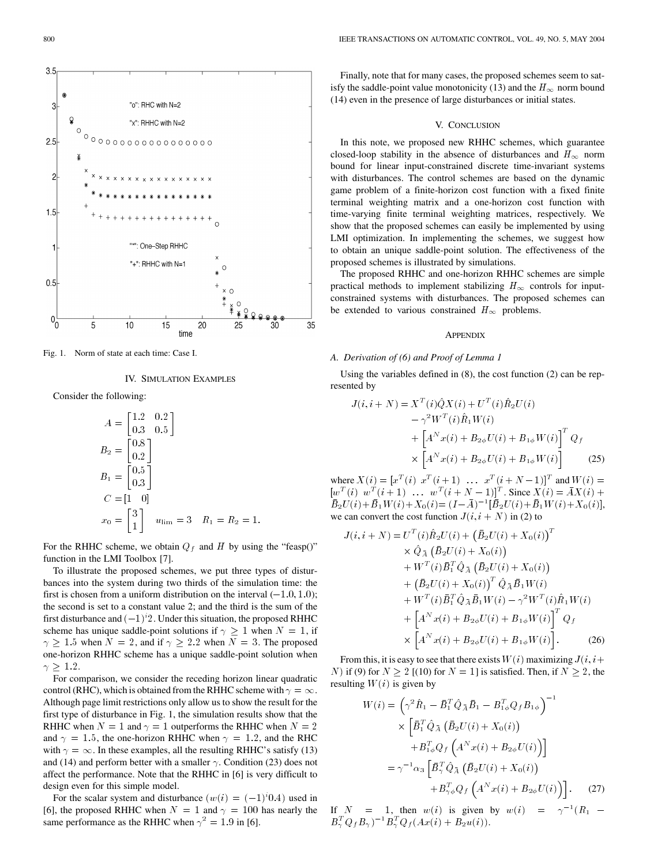

Fig. 1. Norm of state at each time: Case I.

 $10$ 

IV. SIMULATION EXAMPLES

time

20

25

35

15

Consider the following:

 $\sqrt{5}$ 

$$
A = \begin{bmatrix} 1.2 & 0.2 \\ 0.3 & 0.5 \end{bmatrix}
$$
  
\n
$$
B_2 = \begin{bmatrix} 0.8 \\ 0.2 \end{bmatrix}
$$
  
\n
$$
B_1 = \begin{bmatrix} 0.5 \\ 0.3 \end{bmatrix}
$$
  
\n
$$
C = \begin{bmatrix} 1 & 0 \end{bmatrix}
$$
  
\n
$$
x_0 = \begin{bmatrix} 3 \\ 1 \end{bmatrix} \quad u_{\lim} = 3 \quad R_1 = R_2 = 1.
$$

For the RHHC scheme, we obtain  $Q_f$  and H by using the "feasp()" function in the LMI Toolbox [7].

To illustrate the proposed schemes, we put three types of disturbances into the system during two thirds of the simulation time: the first is chosen from a uniform distribution on the interval  $(-1.0, 1.0)$ ; the second is set to a constant value 2; and the third is the sum of the first disturbance and  $(-1)^i$  2. Under this situation, the proposed RHHC scheme has unique saddle-point solutions if  $\gamma \geq 1$  when  $N = 1$ , if  $\gamma \geq 1.5$  when  $N = 2$ , and if  $\gamma \geq 2.2$  when  $N = 3$ . The proposed one-horizon RHHC scheme has a unique saddle-point solution when  $\gamma$   $\geq$  1.2.

For comparison, we consider the receding horizon linear quadratic control (RHC), which is obtained from the RHHC scheme with  $\gamma = \infty$ . Although page limit restrictions only allow us to show the result for the first type of disturbance in Fig. 1, the simulation results show that the RHHC when  $N = 1$  and  $\gamma = 1$  outperforms the RHHC when  $N = 2$ and  $\gamma = 1.5$ , the one-horizon RHHC when  $\gamma = 1.2$ , and the RHC with  $\gamma = \infty$ . In these examples, all the resulting RHHC's satisfy (13) and (14) and perform better with a smaller  $\gamma$ . Condition (23) does not affect the performance. Note that the RHHC in [6] is very difficult to design even for this simple model.

For the scalar system and disturbance  $(w(i) = (-1)^{i}0.4)$  used in [6], the proposed RHHC when  $N = 1$  and  $\gamma = 100$  has nearly the same performance as the RHHC when  $\gamma^2 = 1.9$  in [6].

Finally, note that for many cases, the proposed schemes seem to satisfy the saddle-point value monotonicity (13) and the  $H_{\infty}$  norm bound (14) even in the presence of large disturbances or initial states.

# V. CONCLUSION

In this note, we proposed new RHHC schemes, which guarantee closed-loop stability in the absence of disturbances and  $H_{\infty}$  norm bound for linear input-constrained discrete time-invariant systems with disturbances. The control schemes are based on the dynamic game problem of a finite-horizon cost function with a fixed finite terminal weighting matrix and a one-horizon cost function with time-varying finite terminal weighting matrices, respectively. We show that the proposed schemes can easily be implemented by using LMI optimization. In implementing the schemes, we suggest how to obtain an unique saddle-point solution. The effectiveness of the proposed schemes is illustrated by simulations.

The proposed RHHC and one-horizon RHHC schemes are simple practical methods to implement stabilizing  $H_{\infty}$  controls for inputconstrained systems with disturbances. The proposed schemes can be extended to various constrained  $H_{\infty}$  problems.

# APPENDIX

# *A. Derivation of (6) and Proof of Lemma 1*

Using the variables defined in (8), the cost function (2) can be represented by

$$
J(i, i + N) = X^{T}(i)\hat{Q}X(i) + U^{T}(i)\hat{R}_{2}U(i)
$$
  

$$
- \gamma^{2}W^{T}(i)\hat{R}_{1}W(i)
$$
  

$$
+ \left[A^{N}x(i) + B_{2\phi}U(i) + B_{1\phi}W(i)\right]^{T}Q_{f}
$$
  

$$
\times \left[A^{N}x(i) + B_{2\phi}U(i) + B_{1\phi}W(i)\right]
$$
(25)

where  $X(i)=[x^T(i) \; x^T(i+1) \; \ldots \; x^T(i+N-1)]^T$  and  $W(i) =$  $[w^T(i) \ w^T(i+1) \ \dots \ w^T(i+N-1)]^T$ . Since  $X(i) = \overline{A}X(i) +$  $\overline{B}_2U(i)+\overline{B}_1W(i)+X_0(i)=(I-\overline{A})^{-1}[\overline{B}_2U(i)+\overline{B}_1W(i)+X_0(i)],$ we can convert the cost function  $J(i, i + N)$  in (2) to

$$
J(i, i + N) = U^{T}(i)\hat{R}_{2}U(i) + (\bar{B}_{2}U(i) + X_{0}(i))^{T}
$$
  
\n
$$
\times \hat{Q}_{\bar{A}} (\bar{B}_{2}U(i) + X_{0}(i))
$$
  
\n
$$
+ W^{T}(i)\bar{B}_{1}^{T}\hat{Q}_{\bar{A}} (\bar{B}_{2}U(i) + X_{0}(i))
$$
  
\n
$$
+ (\bar{B}_{2}U(i) + X_{0}(i))^{T}\hat{Q}_{\bar{A}}\bar{B}_{1}W(i)
$$
  
\n
$$
+ W^{T}(i)\bar{B}_{1}^{T}\hat{Q}_{\bar{A}}\bar{B}_{1}W(i) - \gamma^{2}W^{T}(i)\hat{R}_{1}W(i)
$$
  
\n
$$
+ \left[A^{N}x(i) + B_{2\phi}U(i) + B_{1\phi}W(i)\right]^{T} Q_{f}
$$
  
\n
$$
\times \left[A^{N}x(i) + B_{2\phi}U(i) + B_{1\phi}W(i)\right].
$$
 (26)

From this, it is easy to see that there exists  $W(i)$  maximizing  $J(i, i+)$ N) if (9) for  $N \ge 2$  [(10) for  $N = 1$ ] is satisfied. Then, if  $N \ge 2$ , the resulting  $W(i)$  is given by

$$
W(i) = \left(\gamma^2 \hat{R}_1 - \bar{B}_1^T \hat{Q}_{\bar{A}} \bar{B}_1 - B_{1\phi}^T Q_f B_{1\phi}\right)^{-1}
$$

$$
\times \left[\bar{B}_1^T \hat{Q}_{\bar{A}} \left(\bar{B}_2 U(i) + X_0(i)\right) + B_{1\phi}^T Q_f \left(A^N x(i) + B_{2\phi} U(i)\right)\right]
$$

$$
= \gamma^{-1} \alpha_3 \left[\bar{B}_\gamma^T \hat{Q}_{\bar{A}} \left(\bar{B}_2 U(i) + X_0(i)\right) + B_{\gamma\phi}^T Q_f \left(A^N x(i) + B_{2\phi} U(i)\right)\right]. \tag{27}
$$

If  $N = 1$ , then  $w(i)$  is given by  $w(i) = \gamma^{-1}(R_1 B_{\gamma}^{T}Q_{f}B_{\gamma})^{-1}B_{\gamma}^{T}Q_{f}(Ax(i)+B_{2}u(i)).$ 

 $3.5$ 

3

 $2.5$ 

 $\overline{\phantom{a}}$ 

 $1.5$ 

 $0.5$ 

 $0<sub>0</sub>$ 

œ